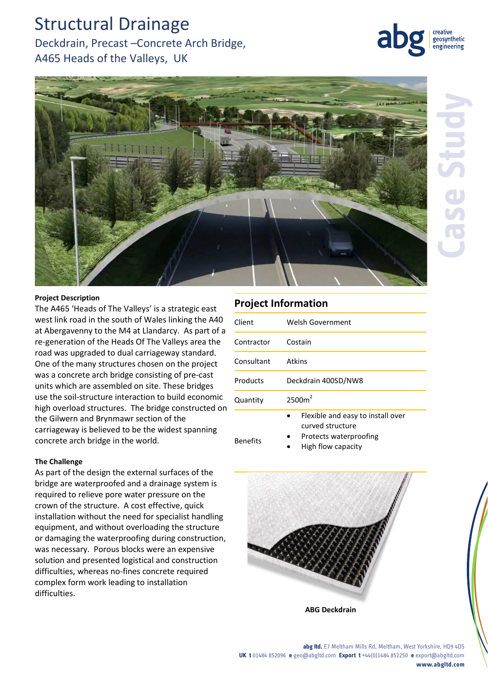# Structural Drainage

# Deckdrain, Precast –Concrete Arch Bridge, A465 Heads of the Valleys, UK





### **Project Description**

The A465 'Heads of The Valleys' is a strategic east west link road in the south of Wales linking the A40 at Abergavenny to the M4 at Llandarcy. As part of a re-generation of the Heads Of The Valleys area the road was upgraded to dual carriageway standard. One of the many structures chosen on the project was a concrete arch bridge consisting of pre-cast units which are assembled on site. These bridges use the soil-structure interaction to build economic high overload structures. The bridge constructed on the Gilwern and Brynmawr section of the carriageway is believed to be the widest spanning concrete arch bridge in the world.

## **The Challenge**

As part of the design the external surfaces of the bridge are waterproofed and a drainage system is required to relieve pore water pressure on the crown of the structure. A cost effective, quick installation without the need for specialist handling equipment, and without overloading the structure or damaging the waterproofing during construction, was necessary. Porous blocks were an expensive solution and presented logistical and construction difficulties, whereas no-fines concrete required complex form work leading to installation difficulties.

## **Project Information**

| Client          | Welsh Government                                                                                      |
|-----------------|-------------------------------------------------------------------------------------------------------|
| Contractor      | Costain                                                                                               |
| Consultant      | Atkins                                                                                                |
| Products        | Deckdrain 400SD/NW8                                                                                   |
| Quantity        | 2500m <sup>2</sup>                                                                                    |
| <b>Benefits</b> | Flexible and easy to install over<br>curved structure<br>Protects waterproofing<br>High flow capacity |



**abg ltd.** E7 Meltham Mills Rd, Meltham, West Yorkshire, HD9 4DS **UK t** 01484 852096 **e** geo@abgltd.com **Export t** +44(0)1484 852250 **e** export@abgltd.com **www.abgltd.com**